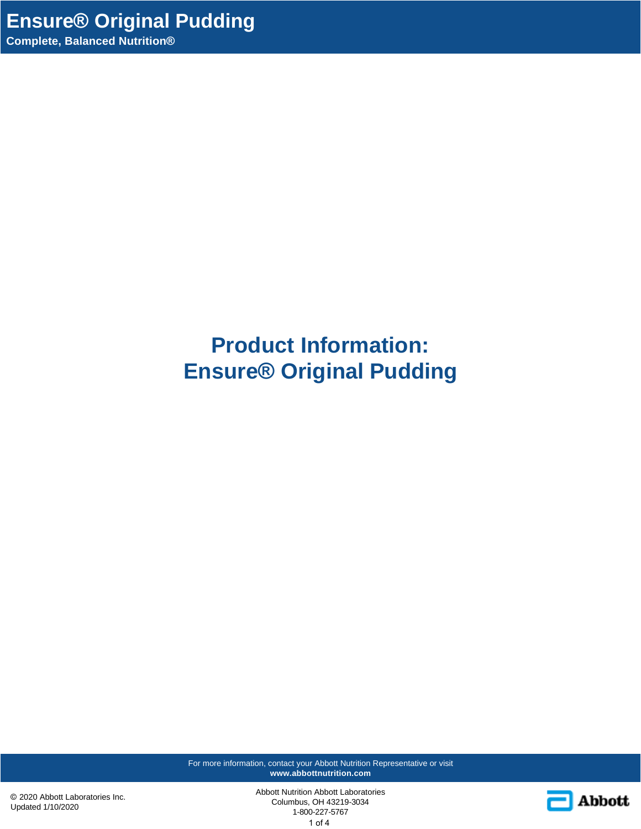# **Product Information: Ensure® Original Pudding**

For more information, contact your Abbott Nutrition Representative or visit **www.abbottnutrition.com**

© 2020 Abbott Laboratories Inc. Updated 1/10/2020

Abbott Nutrition Abbott Laboratories Columbus, OH 43219-3034 1-800-227-5767 1 of 4

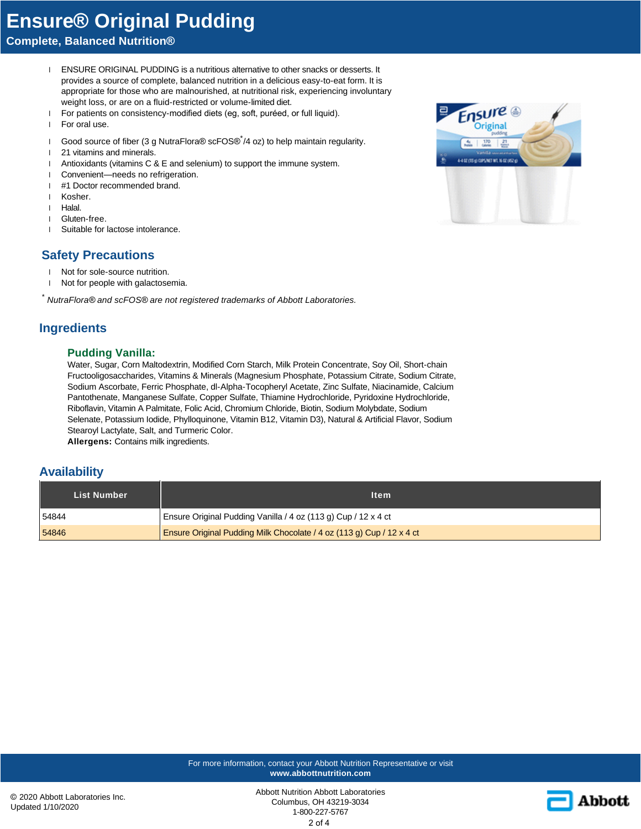## **Ensure® Original Pudding**

### **Complete, Balanced Nutrition®**

- 1 ENSURE ORIGINAL PUDDING is a nutritious alternative to other snacks or desserts. It provides a source of complete, balanced nutrition in a delicious easy-to-eat form. It is appropriate for those who are malnourished, at nutritional risk, experiencing involuntary weight loss, or are on a fluid-restricted or volume-limited diet.
- l For patients on consistency-modified diets (eg, soft, puréed, or full liquid).
- l For oral use.
- 1 Good source of fiber (3 g NutraFlora® scFOS®<sup>\*</sup>/4 oz) to help maintain regularity.
- l 21 vitamins and minerals.
- l Antioxidants (vitamins C & E and selenium) to support the immune system.
- l Convenient—needs no refrigeration.
- l #1 Doctor recommended brand.
- l Kosher.
- l Halal.
- l Gluten-free.
- l Suitable for lactose intolerance.

### **Safety Precautions**

- l Not for sole-source nutrition.
- l Not for people with galactosemia.

*\* NutraFlora® and scFOS® are not registered trademarks of Abbott Laboratories.*

#### **Ingredients**

#### **Pudding Vanilla:**

Water, Sugar, Corn Maltodextrin, Modified Corn Starch, Milk Protein Concentrate, Soy Oil, Short-chain Fructooligosaccharides, Vitamins & Minerals (Magnesium Phosphate, Potassium Citrate, Sodium Citrate, Sodium Ascorbate, Ferric Phosphate, dl-Alpha-Tocopheryl Acetate, Zinc Sulfate, Niacinamide, Calcium Pantothenate, Manganese Sulfate, Copper Sulfate, Thiamine Hydrochloride, Pyridoxine Hydrochloride, Riboflavin, Vitamin A Palmitate, Folic Acid, Chromium Chloride, Biotin, Sodium Molybdate, Sodium Selenate, Potassium Iodide, Phylloquinone, Vitamin B12, Vitamin D3), Natural & Artificial Flavor, Sodium Stearoyl Lactylate, Salt, and Turmeric Color.

**Allergens:** Contains milk ingredients.

#### **Availability**

| <b>List Number</b> | <b>Item</b>                                                           |
|--------------------|-----------------------------------------------------------------------|
| 54844              | Ensure Original Pudding Vanilla / 4 oz (113 g) Cup / 12 x 4 ct        |
| 54846              | Ensure Original Pudding Milk Chocolate / 4 oz (113 g) Cup / 12 x 4 ct |

For more information, contact your Abbott Nutrition Representative or visit **www.abbottnutrition.com**



Abbott Nutrition Abbott Laboratories Columbus, OH 43219-3034 1-800-227-5767



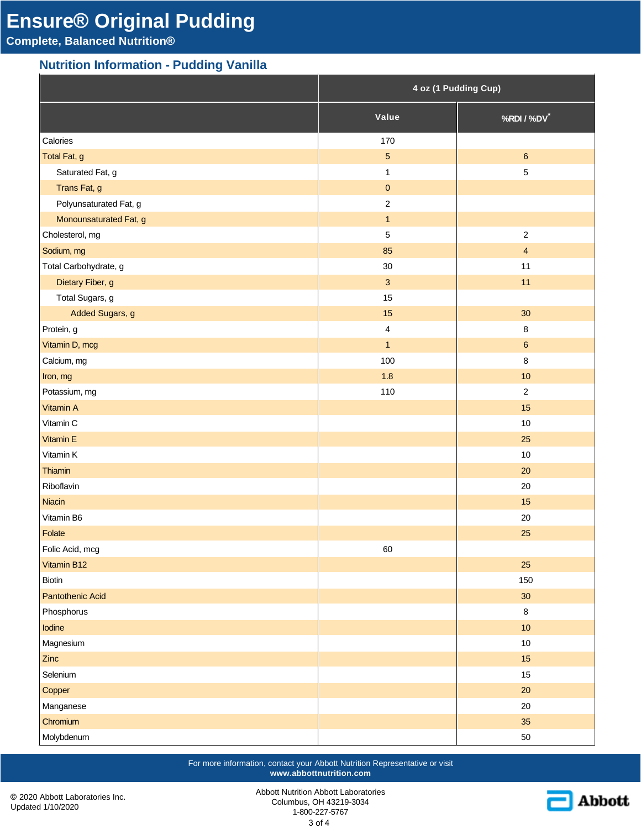## **Ensure® Original Pudding**

**Complete, Balanced Nutrition®**

## **Nutrition Information - Pudding Vanilla**

|                         | 4 oz (1 Pudding Cup) |                  |
|-------------------------|----------------------|------------------|
|                         | Value                | %RDI / %DV*      |
| Calories                | 170                  |                  |
| Total Fat, g            | $\overline{5}$       | $\boldsymbol{6}$ |
| Saturated Fat, g        | $\mathbf{1}$         | $\sqrt{5}$       |
| Trans Fat, g            | $\mathsf{O}\xspace$  |                  |
| Polyunsaturated Fat, g  | $\overline{2}$       |                  |
| Monounsaturated Fat, g  | $\overline{1}$       |                  |
| Cholesterol, mg         | $\sqrt{5}$           | $\overline{2}$   |
| Sodium, mg              | 85                   | $\overline{4}$   |
| Total Carbohydrate, g   | $30\,$               | 11               |
| Dietary Fiber, g        | $\mathbf{3}$         | 11               |
| Total Sugars, g         | 15                   |                  |
| Added Sugars, g         | 15                   | 30               |
| Protein, g              | $\overline{4}$       | $\bf 8$          |
| Vitamin D, mcg          | $\overline{1}$       | $\boldsymbol{6}$ |
| Calcium, mg             | 100                  | $\,8\,$          |
| Iron, mg                | 1.8                  | 10               |
| Potassium, mg           | 110                  | $\overline{2}$   |
| Vitamin A               |                      | 15               |
| Vitamin C               |                      | $10$             |
| Vitamin E               |                      | 25               |
| Vitamin K               |                      | $10$             |
| Thiamin                 |                      | 20               |
| Riboflavin              |                      | 20               |
| Niacin                  |                      | 15               |
| Vitamin B6              |                      | 20               |
| Folate                  |                      | 25               |
| Folic Acid, mcg         | 60                   |                  |
| Vitamin B12             |                      | 25               |
| Biotin                  |                      | 150              |
| <b>Pantothenic Acid</b> |                      | 30 <sub>o</sub>  |
| Phosphorus              |                      | $\bf 8$          |
| Iodine                  |                      | 10               |
| Magnesium               |                      | $10\,$           |
| Zinc                    |                      | 15               |
| Selenium                |                      | $15\,$           |
| Copper                  |                      | $20\,$           |
| Manganese               |                      | $20\,$           |
| Chromium                |                      | 35               |
| Molybdenum              |                      | $50\,$           |

For more information, contact your Abbott Nutrition Representative or visit **www.abbottnutrition.com**

© 2020 Abbott Laboratories Inc. Updated 1/10/2020